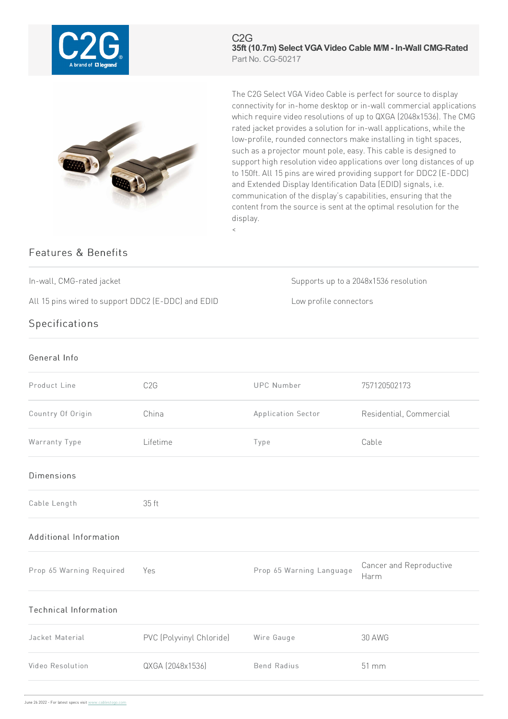

C2G **35ft (10.7m) Select VGAVideo Cable M/M - In-Wall CMG-Rated** Part No. CG-50217



The C2G Select VGA Video Cable is perfect for source to display connectivity for in-home desktop or in-wall commercial applications which require video resolutions of up to QXGA (2048x1536). The CMG rated jacket provides a solution for in-wall applications, while the low-profile, rounded connectors make installing in tight spaces, such as a projector mount pole, easy. This cable is designed to support high resolution video applications over long distances of up to 150ft. All 15 pins are wired providing support for DDC2 (E-DDC) and Extended Display Identification Data (EDID) signals, i.e. communication of the display's capabilities, ensuring that the content from the source is sent at the optimal resolution for the display.

## Features & Benefits

In-wall, CMG-rated jacket Supports up to a 2048x1536 resolution

All 15 pins wired to support DDC2 (E-DDC) and EDID Low profile connectors

## **Specifications**

## General Info

| Product Line                 | C <sub>2</sub> G         | <b>UPC Number</b>        | 757120502173                    |
|------------------------------|--------------------------|--------------------------|---------------------------------|
| Country Of Origin            | China                    | Application Sector       | Residential, Commercial         |
| Warranty Type                | Lifetime                 | Type                     | Cable                           |
| <b>Dimensions</b>            |                          |                          |                                 |
| Cable Length                 | 35 ft                    |                          |                                 |
| Additional Information       |                          |                          |                                 |
| Prop 65 Warning Required     | Yes                      | Prop 65 Warning Language | Cancer and Reproductive<br>Harm |
| <b>Technical Information</b> |                          |                          |                                 |
| Jacket Material              | PVC (Polyvinyl Chloride) | Wire Gauge               | <b>30 AWG</b>                   |
| Video Resolution             | QXGA (2048x1536)         | <b>Bend Radius</b>       | 51 mm                           |
|                              |                          |                          |                                 |

 $\,<$